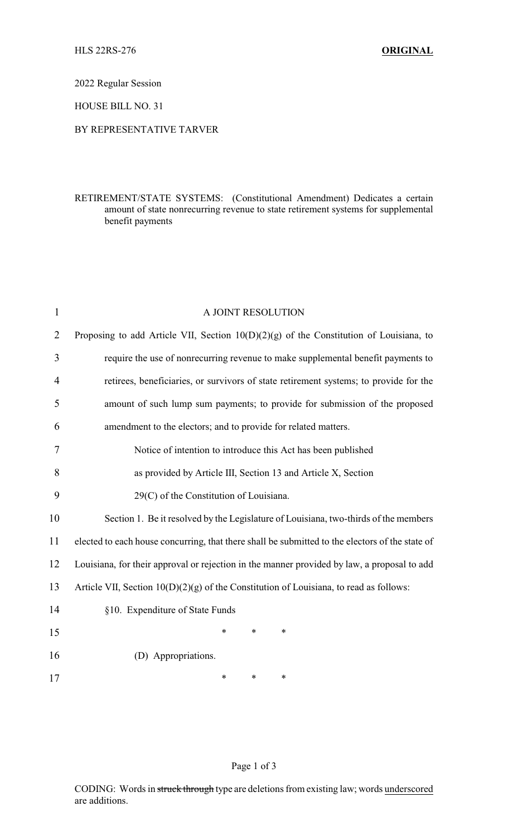2022 Regular Session

HOUSE BILL NO. 31

## BY REPRESENTATIVE TARVER

## RETIREMENT/STATE SYSTEMS: (Constitutional Amendment) Dedicates a certain amount of state nonrecurring revenue to state retirement systems for supplemental benefit payments

| $\mathbf{1}$ | A JOINT RESOLUTION                                                                              |
|--------------|-------------------------------------------------------------------------------------------------|
| 2            | Proposing to add Article VII, Section $10(D)(2)(g)$ of the Constitution of Louisiana, to        |
| 3            | require the use of nonrecurring revenue to make supplemental benefit payments to                |
| 4            | retirees, beneficiaries, or survivors of state retirement systems; to provide for the           |
| 5            | amount of such lump sum payments; to provide for submission of the proposed                     |
| 6            | amendment to the electors; and to provide for related matters.                                  |
| 7            | Notice of intention to introduce this Act has been published                                    |
| 8            | as provided by Article III, Section 13 and Article X, Section                                   |
| 9            | 29(C) of the Constitution of Louisiana.                                                         |
| 10           | Section 1. Be it resolved by the Legislature of Louisiana, two-thirds of the members            |
| 11           | elected to each house concurring, that there shall be submitted to the electors of the state of |
| 12           | Louisiana, for their approval or rejection in the manner provided by law, a proposal to add     |
| 13           | Article VII, Section 10(D)(2)(g) of the Constitution of Louisiana, to read as follows:          |
| 14           | §10. Expenditure of State Funds                                                                 |
| 15           | *<br>$\ast$<br>*                                                                                |
| 16           | (D) Appropriations.                                                                             |
| 17           | *<br>$\ast$<br>*                                                                                |

Page 1 of 3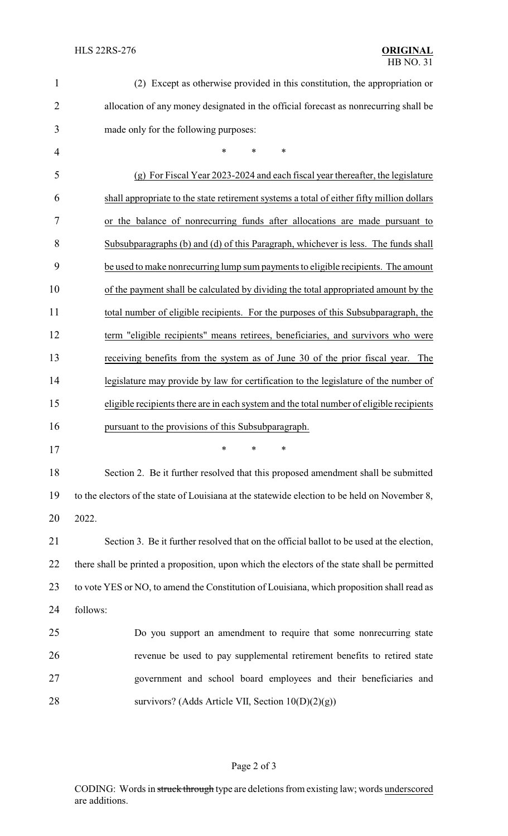| $\mathbf{1}$   | (2) Except as otherwise provided in this constitution, the appropriation or                   |
|----------------|-----------------------------------------------------------------------------------------------|
| $\overline{2}$ | allocation of any money designated in the official forecast as nonrecurring shall be          |
| 3              | made only for the following purposes:                                                         |
| 4              | *<br>*<br>∗                                                                                   |
| 5              | (g) For Fiscal Year 2023-2024 and each fiscal year thereafter, the legislature                |
| 6              | shall appropriate to the state retirement systems a total of either fifty million dollars     |
| 7              | or the balance of nonrecurring funds after allocations are made pursuant to                   |
| 8              | Subsubparagraphs (b) and (d) of this Paragraph, whichever is less. The funds shall            |
| 9              | be used to make nonrecurring lump sum payments to eligible recipients. The amount             |
| 10             | of the payment shall be calculated by dividing the total appropriated amount by the           |
| 11             | total number of eligible recipients. For the purposes of this Subsubparagraph, the            |
| 12             | term "eligible recipients" means retirees, beneficiaries, and survivors who were              |
| 13             | receiving benefits from the system as of June 30 of the prior fiscal year. The                |
| 14             | legislature may provide by law for certification to the legislature of the number of          |
| 15             | eligible recipients there are in each system and the total number of eligible recipients      |
| 16             | pursuant to the provisions of this Subsubparagraph.                                           |
| 17             | *<br>∗<br>*                                                                                   |
| 18             | Section 2. Be it further resolved that this proposed amendment shall be submitted             |
| 19             | to the electors of the state of Louisiana at the statewide election to be held on November 8, |
| 20             | 2022.                                                                                         |
| 21             | Section 3. Be it further resolved that on the official ballot to be used at the election,     |
| 22             | there shall be printed a proposition, upon which the electors of the state shall be permitted |
| 23             | to vote YES or NO, to amend the Constitution of Louisiana, which proposition shall read as    |
| 24             | follows:                                                                                      |
| 25             | Do you support an amendment to require that some nonrecurring state                           |
| 26             | revenue be used to pay supplemental retirement benefits to retired state                      |
| 27             | government and school board employees and their beneficiaries and                             |
|                |                                                                                               |

28 survivors? (Adds Article VII, Section 10(D)(2)(g))

## Page 2 of 3